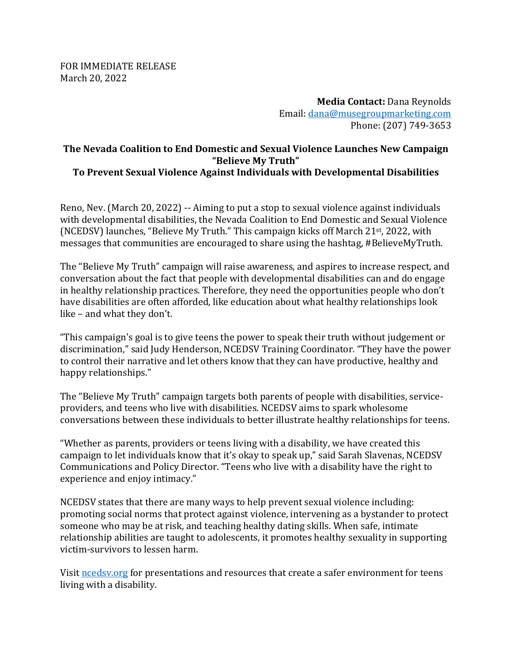FOR IMMEDIATE RELEASE March 20, 2022

> **Media Contact:** Dana Reynolds Email: [dana@musegroupmarketing.com](mailto:dana@musegroupmarketing.com) Phone: (207) 749-3653

## **The Nevada Coalition to End Domestic and Sexual Violence Launches New Campaign "Believe My Truth" To Prevent Sexual Violence Against Individuals with Developmental Disabilities**

Reno, Nev. (March 20, 2022) -- Aiming to put a stop to sexual violence against individuals with developmental disabilities, the Nevada Coalition to End Domestic and Sexual Violence (NCEDSV) launches, "Believe My Truth." This campaign kicks off March 21st, 2022, with messages that communities are encouraged to share using the hashtag, #BelieveMyTruth.

The "Believe My Truth" campaign will raise awareness, and aspires to increase respect, and conversation about the fact that people with developmental disabilities can and do engage in healthy relationship practices. Therefore, they need the opportunities people who don't have disabilities are often afforded, like education about what healthy relationships look like – and what they don't.

"This campaign's goal is to give teens the power to speak their truth without judgement or discrimination," said Judy Henderson, NCEDSV Training Coordinator. "They have the power to control their narrative and let others know that they can have productive, healthy and happy relationships."

The "Believe My Truth" campaign targets both parents of people with disabilities, serviceproviders, and teens who live with disabilities. NCEDSV aims to spark wholesome conversations between these individuals to better illustrate healthy relationships for teens.

"Whether as parents, providers or teens living with a disability, we have created this campaign to let individuals know that it's okay to speak up," said Sarah Slavenas, NCEDSV Communications and Policy Director. "Teens who live with a disability have the right to experience and enjoy intimacy."

NCEDSV states that there are many ways to help prevent sexual violence including: promoting social norms that protect against violence, intervening as a bystander to protect someone who may be at risk, and teaching healthy dating skills. When safe, intimate relationship abilities are taught to adolescents, it promotes healthy sexuality in supporting victim-survivors to lessen harm.

Visit needsy org for presentations and resources that create a safer environment for teens living with a disability.